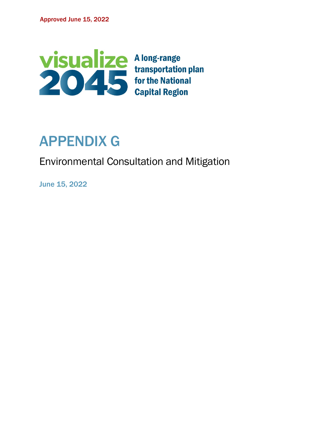

# APPENDIX G

Environmental Consultation and Mitigation

June 15, 2022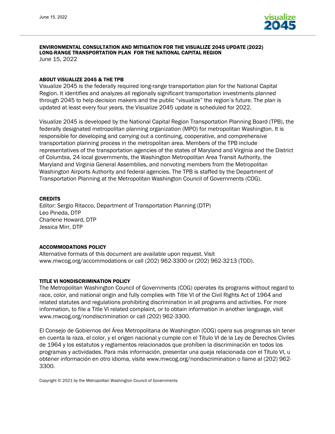

#### ENVIRONMENTAL CONSULTATION AND MITIGATION FOR THE VISUALIZE 2045 UPDATE (2022) LONG-RANGE TRANSPORTATION PLAN FOR THE NATIONAL CAPITAL REGION

June 15, 2022

#### ABOUT VISUALIZE 2045 & THE TPB

Visualize 2045 is the federally required long-range transportation plan for the National Capital Region. It identifies and analyzes all regionally significant transportation investments planned through 2045 to help decision makers and the public "visualize" the region's future. The plan is updated at least every four years, the Visualize 2045 update is scheduled for 2022.

Visualize 2045 is developed by the National Capital Region Transportation Planning Board (TPB), the federally designated metropolitan planning organization (MPO) for metropolitan Washington. It is responsible for developing and carrying out a continuing, cooperative, and comprehensive transportation planning process in the metropolitan area. Members of the TPB include representatives of the transportation agencies of the states of Maryland and Virginia and the District of Columbia, 24 local governments, the Washington Metropolitan Area Transit Authority, the Maryland and Virginia General Assemblies, and nonvoting members from the Metropolitan Washington Airports Authority and federal agencies. The TPB is staffed by the Department of Transportation Planning at the Metropolitan Washington Council of Governments (COG).

#### **CREDITS**

Editor: Sergio Ritacco, Department of Transportation Planning (DTP) Leo Pineda, DTP Charlene Howard, DTP Jessica Mirr, DTP

#### ACCOMMODATIONS POLICY

Alternative formats of this document are available upon request. Visit [www.mwcog.org/accommodations](http://www.mwcog.org/accommodations) or call (202) 962-3300 or (202) 962-3213 (TDD).

#### TITLE VI NONDISCRIMINATION POLICY

The Metropolitan Washington Council of Governments (COG) operates its programs without regard to race, color, and national origin and fully complies with Title VI of the Civil Rights Act of 1964 and related statutes and regulations prohibiting discrimination in all programs and activities. For more information, to file a Title VI related complaint, or to obtain information in another language, visit www.mwcog.org/nondiscrimination or call (202) 962-3300.

El Consejo de Gobiernos del Área Metropolitana de Washington (COG) opera sus programas sin tener en cuenta la raza, el color, y el origen nacional y cumple con el Título VI de la Ley de Derechos Civiles de 1964 y los estatutos y reglamentos relacionados que prohíben la discriminación en todos los programas y actividades. Para más información, presentar una queja relacionada con el Título VI, u obtener información en otro idioma, visite www.mwcog.org/nondiscrimination o llame al (202) 962- 3300.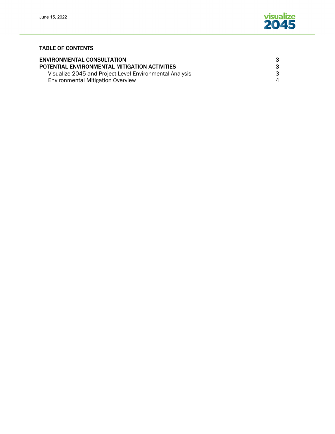

#### TABLE OF CONTENTS

| <b>ENVIRONMENTAL CONSULTATION</b>                       | 3 |
|---------------------------------------------------------|---|
| POTENTIAL ENVIRONMENTAL MITIGATION ACTIVITIES           | 3 |
| Visualize 2045 and Project-Level Environmental Analysis | 3 |
| <b>Environmental Mitigation Overview</b>                | 4 |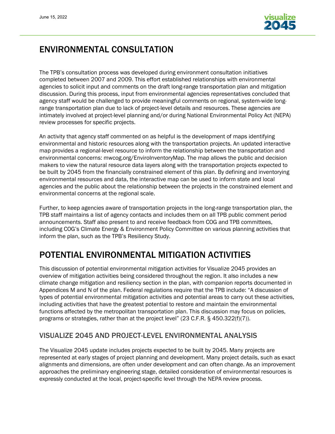

## ENVIRONMENTAL CONSULTATION

The TPB's consultation process was developed during environment consultation initiatives completed between 2007 and 2009. This effort established relationships with environmental agencies to solicit input and comments on the draft long-range transportation plan and mitigation discussion. During this process, input from environmental agencies representatives concluded that agency staff would be challenged to provide meaningful comments on regional, system-wide longrange transportation plan due to lack of project-level details and resources. These agencies are intimately involved at project-level planning and/or during National Environmental Policy Act (NEPA) review processes for specific projects.

An activity that agency staff commented on as helpful is the development of maps identifying environmental and historic resources along with the transportation projects. An updated interactive map provides a regional-level resource to inform the relationship between the transportation and environmental concerns: mwcog.org/EnviroInventoryMap. The map allows the public and decision makers to view the natural resource data layers along with the transportation projects expected to be built by 2045 from the financially constrained element of this plan. By defining and inventorying environmental resources and data, the interactive map can be used to inform state and local agencies and the public about the relationship between the projects in the constrained element and environmental concerns at the regional scale.

Further, to keep agencies aware of transportation projects in the long-range transportation plan, the TPB staff maintains a list of agency contacts and includes them on all TPB public comment period announcements. Staff also present to and receive feedback from COG and TPB committees, including COG's Climate Energy & Environment Policy Committee on various planning activities that inform the plan, such as the TPB's Resiliency Study.

# POTENTIAL ENVIRONMENTAL MITIGATION ACTIVITIES

This discussion of potential environmental mitigation activities for Visualize 2045 provides an overview of mitigation activities being considered throughout the region. It also includes a new climate change mitigation and resiliency section in the plan, with companion reports documented in Appendices M and N of the plan. Federal regulations require that the TPB include: "A discussion of types of potential environmental mitigation activities and potential areas to carry out these activities, including activities that have the greatest potential to restore and maintain the environmental functions affected by the metropolitan transportation plan. This discussion may focus on policies, programs or strategies, rather than at the project level" (23 C.F.R. § 450.322(f)(7)).

## VISUALIZE 2045 AND PROJECT-LEVEL ENVIRONMENTAL ANALYSIS

The Visualize 2045 update includes projects expected to be built by 2045. Many projects are represented at early stages of project planning and development. Many project details, such as exact alignments and dimensions, are often under development and can often change. As an improvement approaches the preliminary engineering stage, detailed consideration of environmental resources is expressly conducted at the local, project-specific level through the NEPA review process.